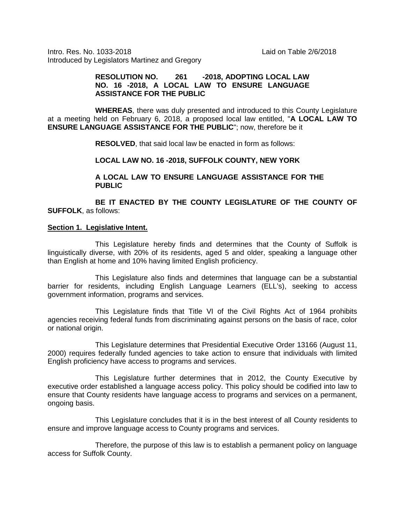Intro. Res. No. 1033-2018 Laid on Table 2/6/2018 Introduced by Legislators Martinez and Gregory

## **RESOLUTION NO. 261 -2018, ADOPTING LOCAL LAW NO. 16 -2018, A LOCAL LAW TO ENSURE LANGUAGE ASSISTANCE FOR THE PUBLIC**

**WHEREAS**, there was duly presented and introduced to this County Legislature at a meeting held on February 6, 2018, a proposed local law entitled, "**A LOCAL LAW TO ENSURE LANGUAGE ASSISTANCE FOR THE PUBLIC**"; now, therefore be it

**RESOLVED**, that said local law be enacted in form as follows:

**LOCAL LAW NO. 16 -2018, SUFFOLK COUNTY, NEW YORK**

**A LOCAL LAW TO ENSURE LANGUAGE ASSISTANCE FOR THE PUBLIC**

**BE IT ENACTED BY THE COUNTY LEGISLATURE OF THE COUNTY OF SUFFOLK**, as follows:

#### **Section 1. Legislative Intent.**

This Legislature hereby finds and determines that the County of Suffolk is linguistically diverse, with 20% of its residents, aged 5 and older, speaking a language other than English at home and 10% having limited English proficiency.

This Legislature also finds and determines that language can be a substantial barrier for residents, including English Language Learners (ELL's), seeking to access government information, programs and services.

This Legislature finds that Title VI of the Civil Rights Act of 1964 prohibits agencies receiving federal funds from discriminating against persons on the basis of race, color or national origin.

This Legislature determines that Presidential Executive Order 13166 (August 11, 2000) requires federally funded agencies to take action to ensure that individuals with limited English proficiency have access to programs and services.

This Legislature further determines that in 2012, the County Executive by executive order established a language access policy. This policy should be codified into law to ensure that County residents have language access to programs and services on a permanent, ongoing basis.

This Legislature concludes that it is in the best interest of all County residents to ensure and improve language access to County programs and services.

Therefore, the purpose of this law is to establish a permanent policy on language access for Suffolk County.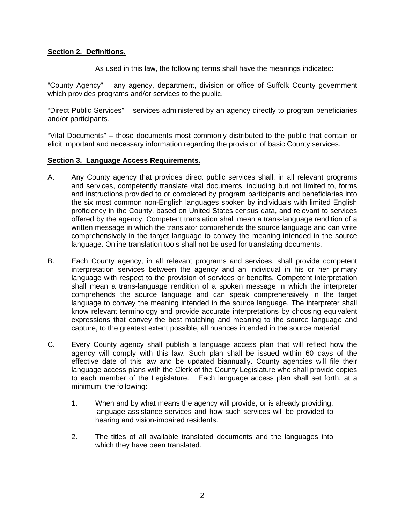# **Section 2. Definitions.**

As used in this law, the following terms shall have the meanings indicated:

"County Agency" – any agency, department, division or office of Suffolk County government which provides programs and/or services to the public.

"Direct Public Services" – services administered by an agency directly to program beneficiaries and/or participants.

"Vital Documents" – those documents most commonly distributed to the public that contain or elicit important and necessary information regarding the provision of basic County services.

## **Section 3. Language Access Requirements.**

- A. Any County agency that provides direct public services shall, in all relevant programs and services, competently translate vital documents, including but not limited to, forms and instructions provided to or completed by program participants and beneficiaries into the six most common non-English languages spoken by individuals with limited English proficiency in the County, based on United States census data, and relevant to services offered by the agency. Competent translation shall mean a trans-language rendition of a written message in which the translator comprehends the source language and can write comprehensively in the target language to convey the meaning intended in the source language. Online translation tools shall not be used for translating documents.
- B. Each County agency, in all relevant programs and services, shall provide competent interpretation services between the agency and an individual in his or her primary language with respect to the provision of services or benefits. Competent interpretation shall mean a trans-language rendition of a spoken message in which the interpreter comprehends the source language and can speak comprehensively in the target language to convey the meaning intended in the source language. The interpreter shall know relevant terminology and provide accurate interpretations by choosing equivalent expressions that convey the best matching and meaning to the source language and capture, to the greatest extent possible, all nuances intended in the source material.
- C. Every County agency shall publish a language access plan that will reflect how the agency will comply with this law. Such plan shall be issued within 60 days of the effective date of this law and be updated biannually. County agencies will file their language access plans with the Clerk of the County Legislature who shall provide copies to each member of the Legislature. Each language access plan shall set forth, at a minimum, the following:
	- 1. When and by what means the agency will provide, or is already providing, language assistance services and how such services will be provided to hearing and vision-impaired residents.
	- 2. The titles of all available translated documents and the languages into which they have been translated.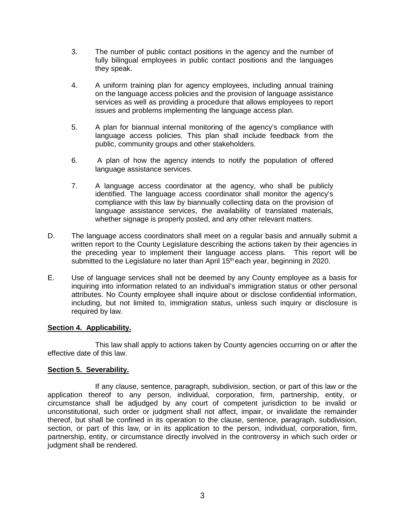- 3. The number of public contact positions in the agency and the number of fully bilingual employees in public contact positions and the languages they speak.
- 4. A uniform training plan for agency employees, including annual training on the language access policies and the provision of language assistance services as well as providing a procedure that allows employees to report issues and problems implementing the language access plan.
- 5. A plan for biannual internal monitoring of the agency's compliance with language access policies. This plan shall include feedback from the public, community groups and other stakeholders.
- 6. A plan of how the agency intends to notify the population of offered language assistance services.
- 7. A language access coordinator at the agency, who shall be publicly identified. The language access coordinator shall monitor the agency's compliance with this law by biannually collecting data on the provision of language assistance services, the availability of translated materials, whether signage is properly posted, and any other relevant matters.
- D. The language access coordinators shall meet on a regular basis and annually submit a written report to the County Legislature describing the actions taken by their agencies in the preceding year to implement their language access plans. This report will be submitted to the Legislature no later than April  $15<sup>th</sup>$  each year, beginning in 2020.
- E. Use of language services shall not be deemed by any County employee as a basis for inquiring into information related to an individual's immigration status or other personal attributes. No County employee shall inquire about or disclose confidential information, including, but not limited to, immigration status, unless such inquiry or disclosure is required by law.

# **Section 4. Applicability.**

This law shall apply to actions taken by County agencies occurring on or after the effective date of this law.

# **Section 5. Severability.**

If any clause, sentence, paragraph, subdivision, section, or part of this law or the application thereof to any person, individual, corporation, firm, partnership, entity, or circumstance shall be adjudged by any court of competent jurisdiction to be invalid or unconstitutional, such order or judgment shall not affect, impair, or invalidate the remainder thereof, but shall be confined in its operation to the clause, sentence, paragraph, subdivision, section, or part of this law, or in its application to the person, individual, corporation, firm, partnership, entity, or circumstance directly involved in the controversy in which such order or judgment shall be rendered.